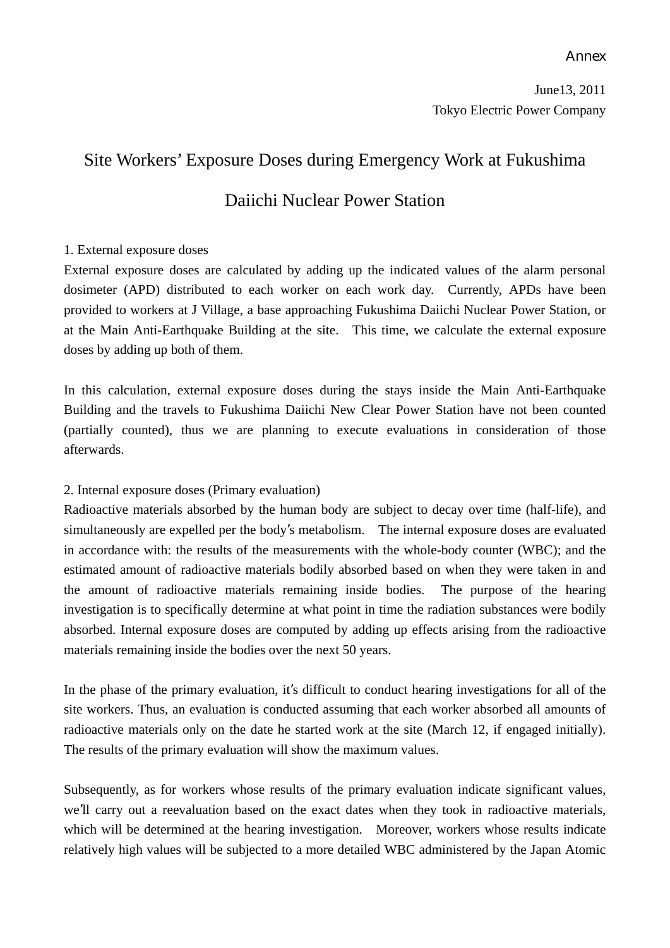#### Annex

# Site Workers' Exposure Doses during Emergency Work at Fukushima Daiichi Nuclear Power Station

#### 1. External exposure doses

External exposure doses are calculated by adding up the indicated values of the alarm personal dosimeter (APD) distributed to each worker on each work day. Currently, APDs have been provided to workers at J Village, a base approaching Fukushima Daiichi Nuclear Power Station, or at the Main Anti-Earthquake Building at the site. This time, we calculate the external exposure doses by adding up both of them.

In this calculation, external exposure doses during the stays inside the Main Anti-Earthquake Building and the travels to Fukushima Daiichi New Clear Power Station have not been counted (partially counted), thus we are planning to execute evaluations in consideration of those afterwards.

2. Internal exposure doses (Primary evaluation)

Radioactive materials absorbed by the human body are subject to decay over time (half-life), and simultaneously are expelled per the body's metabolism. The internal exposure doses are evaluated in accordance with: the results of the measurements with the whole-body counter (WBC); and the estimated amount of radioactive materials bodily absorbed based on when they were taken in and the amount of radioactive materials remaining inside bodies. The purpose of the hearing investigation is to specifically determine at what point in time the radiation substances were bodily absorbed. Internal exposure doses are computed by adding up effects arising from the radioactive materials remaining inside the bodies over the next 50 years.

In the phase of the primary evaluation, it's difficult to conduct hearing investigations for all of the site workers. Thus, an evaluation is conducted assuming that each worker absorbed all amounts of radioactive materials only on the date he started work at the site (March 12, if engaged initially). The results of the primary evaluation will show the maximum values.

Subsequently, as for workers whose results of the primary evaluation indicate significant values, we'll carry out a reevaluation based on the exact dates when they took in radioactive materials, which will be determined at the hearing investigation. Moreover, workers whose results indicate relatively high values will be subjected to a more detailed WBC administered by the Japan Atomic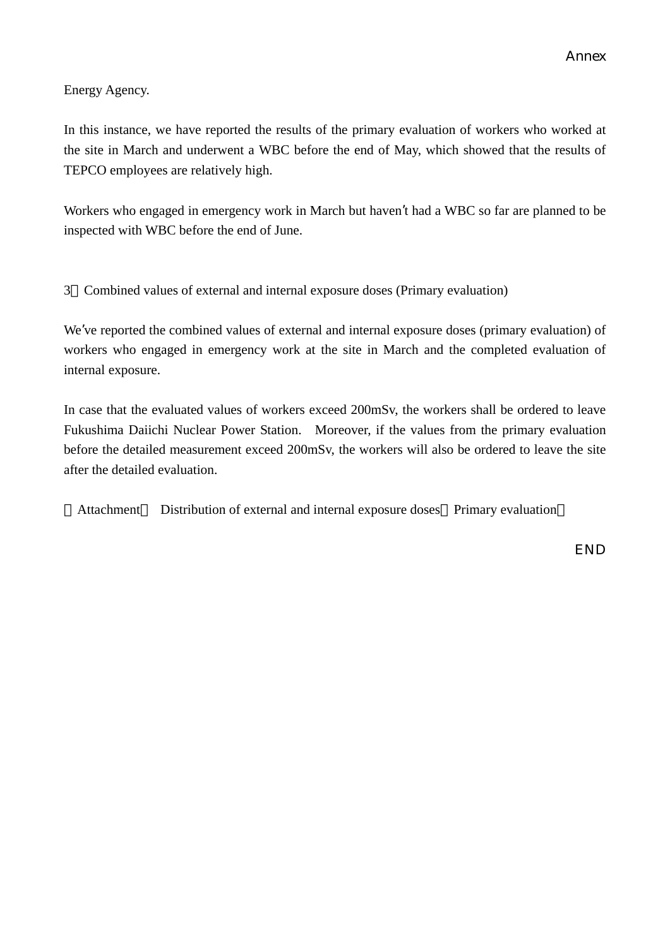Energy Agency.

In this instance, we have reported the results of the primary evaluation of workers who worked at the site in March and underwent a WBC before the end of May, which showed that the results of TEPCO employees are relatively high.

Workers who engaged in emergency work in March but haven't had a WBC so far are planned to be inspected with WBC before the end of June.

3 Combined values of external and internal exposure doses (Primary evaluation)

We've reported the combined values of external and internal exposure doses (primary evaluation) of workers who engaged in emergency work at the site in March and the completed evaluation of internal exposure.

In case that the evaluated values of workers exceed 200mSv, the workers shall be ordered to leave Fukushima Daiichi Nuclear Power Station. Moreover, if the values from the primary evaluation before the detailed measurement exceed 200mSv, the workers will also be ordered to leave the site after the detailed evaluation.

Attachment Distribution of external and internal exposure doses Primary evaluation

END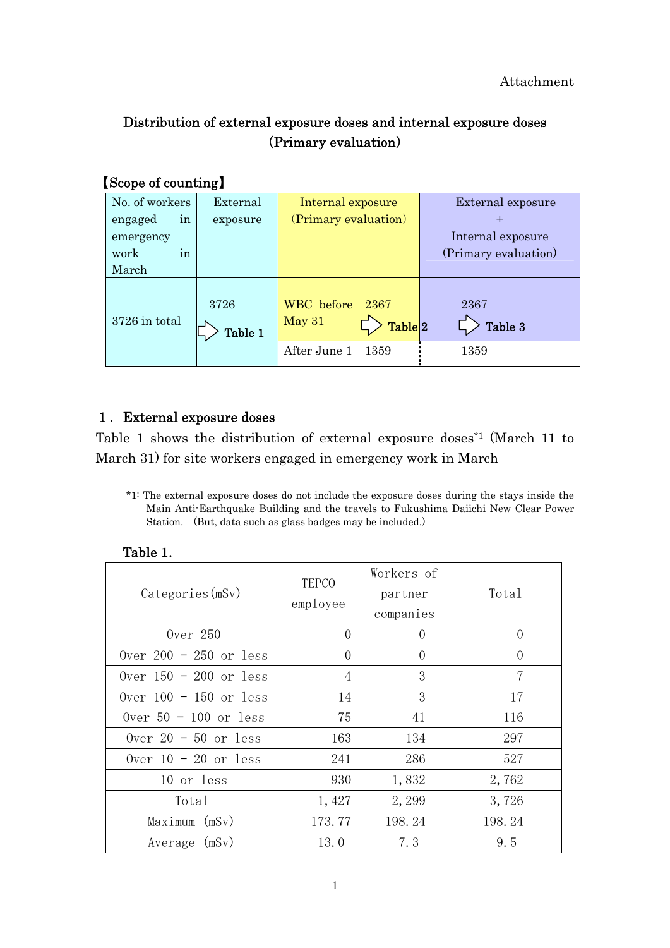## Distribution of external exposure doses and internal exposure doses (Primary evaluation)

## 【Scope of counting】

| No. of workers | External        | Internal exposure         |                    | External exposure    |
|----------------|-----------------|---------------------------|--------------------|----------------------|
| in<br>engaged  | exposure        | (Primary evaluation)      |                    |                      |
| emergency      |                 |                           |                    | Internal exposure    |
| in<br>work     |                 |                           |                    | (Primary evaluation) |
| March          |                 |                           |                    |                      |
| 3726 in total  | 3726<br>Table 1 | WBC before 2367<br>May 31 | Table <sup>2</sup> | 2367<br>Table 3      |
|                |                 | After June 1              | 1359               | 1359                 |

#### 1.External exposure doses

Table 1 shows the distribution of external exposure doses\*1 (March 11 to March 31) for site workers engaged in emergency work in March

\*1: The external exposure doses do not include the exposure doses during the stays inside the Main Anti-Earthquake Building and the travels to Fukushima Daiichi New Clear Power Station. (But, data such as glass badges may be included.)

| Categorical(s)           | <b>TEPCO</b><br>employee | Workers of<br>partner<br>companies | Total    |
|--------------------------|--------------------------|------------------------------------|----------|
| 0ver 250                 | $\Omega$                 | $\Omega$                           | $\Omega$ |
| Over $200 - 250$ or less | $\Omega$                 | $\Omega$                           | $\theta$ |
| Over $150 - 200$ or less | 4                        | 3                                  | 7        |
| Over $100 - 150$ or less | 14                       | 3                                  | 17       |
| Over $50 - 100$ or less  | 75                       | 41                                 | 116      |
| Over $20 - 50$ or less   | 163                      | 134                                | 297      |
| Over $10 - 20$ or less   | 241                      | 286                                | 527      |
| 10 or less               | 930                      | 1,832                              | 2,762    |
| Total                    | 1,427                    | 2, 299                             | 3,726    |
| Maximum (mSv)            | 173.77                   | 198.24                             | 198.24   |
| Average (mSv)            | 13.0                     | 7.3                                | 9.5      |

#### Table 1.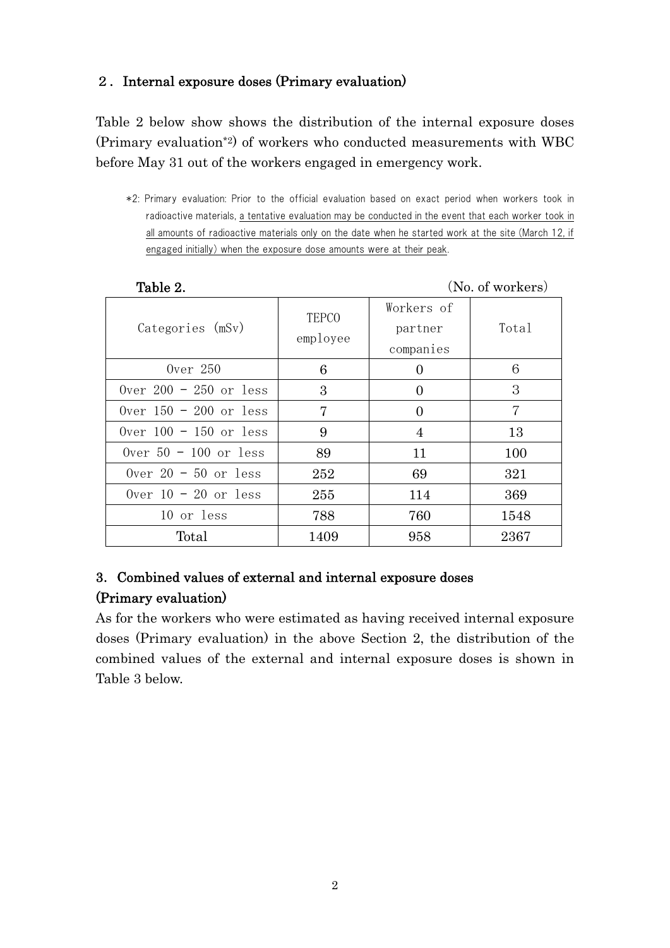## 2.Internal exposure doses (Primary evaluation)

Table 2 below show shows the distribution of the internal exposure doses (Primary evaluation\*2) of workers who conducted measurements with WBC before May 31 out of the workers engaged in emergency work.

<sup>\*2:</sup> Primary evaluation: Prior to the official evaluation based on exact period when workers took in radioactive materials, a tentative evaluation may be conducted in the event that each worker took in all amounts of radioactive materials only on the date when he started work at the site (March 12, if engaged initially) when the exposure dose amounts were at their peak.

| Taule 2.                 | $(1)0.01$ WOIKELS        |                                    |       |
|--------------------------|--------------------------|------------------------------------|-------|
| Categories (mSv)         | <b>TEPCO</b><br>employee | Workers of<br>partner<br>companies | Total |
| Over $250$               | 6                        | 0                                  | 6     |
| Over $200 - 250$ or less | 3                        | $\Omega$                           | 3     |
| Over $150 - 200$ or less | 7                        | $\Omega$                           | 7     |
| Over $100 - 150$ or less | 9                        | 4                                  | 13    |
| Over $50 - 100$ or less  | 89                       | 11                                 | 100   |
| Over $20 - 50$ or less   | 252                      | 69                                 | 321   |
| Over $10 - 20$ or less   | 255                      | 114                                | 369   |
| 10 or less               | 788                      | 760                                | 1548  |
| Total                    | 1409                     | 958                                | 2367  |

#### Table 2. (No. of workers)

### 3.Combined values of external and internal exposure doses (Primary evaluation)

As for the workers who were estimated as having received internal exposure doses (Primary evaluation) in the above Section 2, the distribution of the combined values of the external and internal exposure doses is shown in Table 3 below.